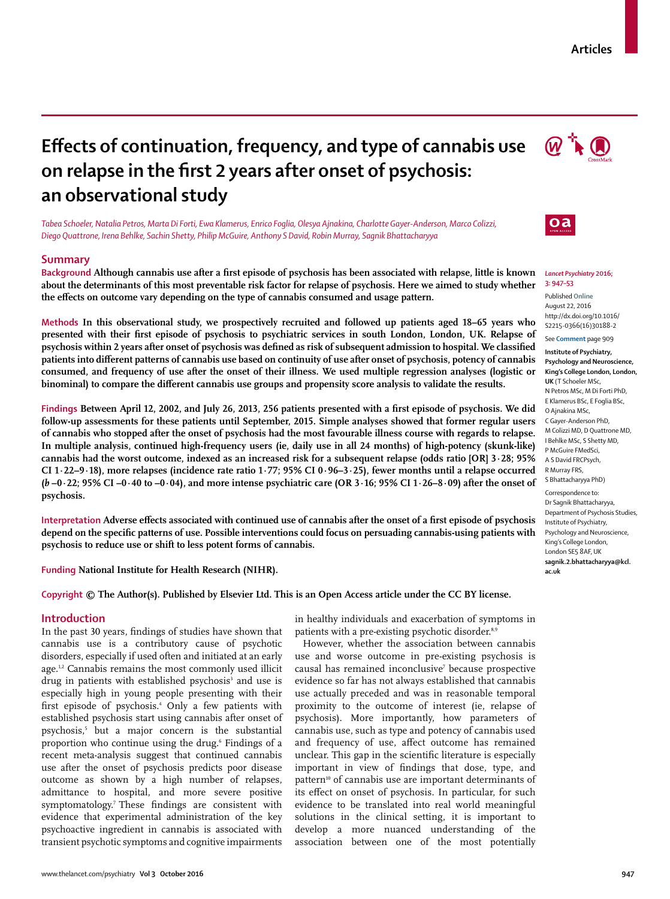## **Articles**

# Effects of continuation, frequency, and type of cannabis use on relapse in the first 2 years after onset of psychosis: **an observational study**

*Tabea Schoeler, Natalia Petros, Marta Di Forti, Ewa Klamerus, Enrico Foglia, Olesya Ajnakina, Charlotte Gayer-Anderson, Marco Colizzi, Diego Quattrone, Irena Behlke, Sachin Shetty, Philip McGuire, Anthony S David, Robin Murray, Sagnik Bhattacharyya*

## **Summary**

Background Although cannabis use after a first episode of psychosis has been associated with relapse, little is known **about the determinants of this most preventable risk factor for relapse of psychosis. Here we aimed to study whether the eff ects on outcome vary depending on the type of cannabis consumed and usage pattern.**

**Methods In this observational study, we prospectively recruited and followed up patients aged 18–65 years who**  presented with their first episode of psychosis to psychiatric services in south London, London, UK. Relapse of psychosis within 2 years after onset of psychosis was defined as risk of subsequent admission to hospital. We classified patients into different patterns of cannabis use based on continuity of use after onset of psychosis, potency of cannabis **consumed, and frequency of use after the onset of their illness. We used multiple regression analyses (logistic or**  binominal) to compare the different cannabis use groups and propensity score analysis to validate the results.

**Findings Between April 12, 2002, and July 26, 2013, 256 patients presented with a first episode of psychosis. We did follow-up assessments for these patients until September, 2015. Simple analyses showed that former regular users of cannabis who stopped after the onset of psychosis had the most favourable illness course with regards to relapse. In multiple analysis, continued high-frequency users (ie, daily use in all 24 months) of high-potency (skunk-like) cannabis had the worst outcome, indexed as an increased risk for a subsequent relapse (odds ratio [OR] 3·28; 95% CI 1·22–9·18), more relapses (incidence rate ratio 1·77; 95% CI 0·96–3·25), fewer months until a relapse occurred (***b* **–0·22; 95% CI –0·40 to –0·04), and more intense psychiatric care (OR 3·16; 95% CI 1·26–8·09) after the onset of psychosis.**

Interpretation Adverse effects associated with continued use of cannabis after the onset of a first episode of psychosis depend on the specific patterns of use. Possible interventions could focus on persuading cannabis-using patients with **psychosis to reduce use or shift to less potent forms of cannabis.**

## **Funding National Institute for Health Research (NIHR).**

**Copyright © The Author(s). Published by Elsevier Ltd. This is an Open Access article under the CC BY license.**

## **Introduction**

In the past 30 years, findings of studies have shown that cannabis use is a contributory cause of psychotic disorders, especially if used often and initiated at an early age.1,2 Cannabis remains the most commonly used illicit drug in patients with established psychosis<sup>3</sup> and use is especially high in young people presenting with their first episode of psychosis.<sup>4</sup> Only a few patients with established psychosis start using cannabis after onset of psychosis,5 but a major concern is the substantial proportion who continue using the drug.<sup>6</sup> Findings of a recent meta-analysis suggest that continued cannabis use after the onset of psychosis predicts poor disease outcome as shown by a high number of relapses, admittance to hospital, and more severe positive symptomatology.<sup>7</sup> These findings are consistent with evidence that experimental administration of the key psychoactive ingredient in cannabis is associated with transient psychotic symptoms and cognitive impairments

in healthy individuals and exacerbation of symptoms in patients with a pre-existing psychotic disorder.<sup>8,9</sup>

However, whether the association between cannabis use and worse outcome in pre-existing psychosis is causal has remained inconclusive<sup>7</sup> because prospective evidence so far has not always established that cannabis use actually preceded and was in reasonable temporal proximity to the outcome of interest (ie, relapse of psychosis). More importantly, how parameters of cannabis use, such as type and potency of cannabis used and frequency of use, affect outcome has remained unclear. This gap in the scientific literature is especially important in view of findings that dose, type, and pattern<sup>10</sup> of cannabis use are important determinants of its effect on onset of psychosis. In particular, for such evidence to be translated into real world meaningful solutions in the clinical setting, it is important to develop a more nuanced understanding of the association between one of the most potentially





#### *Lancet Psychiatry* **2016; 3: 947–53**

Published **Online** August 22, 2016 http://dx.doi.org/10.1016/ S2215-0366(16)30188-2

**Institute of Psychiatry, Psychology and Neuroscience, King's College London, London, UK** (T Schoeler MSc, N Petros MSc, M Di Forti PhD, E Klamerus BSc, E Foglia BSc, O Ajnakina MSc, C Gayer-Anderson PhD, M Colizzi MD, D Quattrone MD, I Behlke MSc, S Shetty MD, P McGuire FMedSci, A S David FRCPsych, R Murray FRS, S Bhattacharyya PhD)

Correspondence to: Dr Sagnik Bhattacharyya, Department of Psychosis Studies, Institute of Psychiatry, Psychology and Neuroscience, King's College London, London SE5 8AF, UK **sagnik.2.bhattacharyya@kcl. ac.uk**

See **Comment** page 909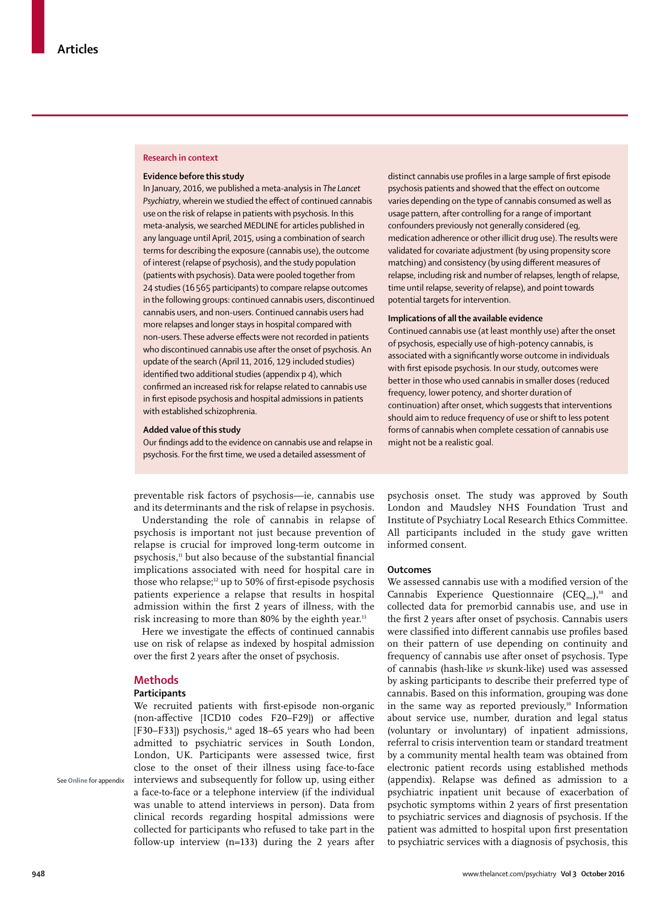#### **Research in context**

#### **Evidence before this study**

In January, 2016, we published a meta-analysis in *The Lancet*  Psychiatry, wherein we studied the effect of continued cannabis use on the risk of relapse in patients with psychosis. In this meta-analysis, we searched MEDLINE for articles published in any language until April, 2015, using a combination of search terms for describing the exposure (cannabis use), the outcome of interest (relapse of psychosis), and the study population (patients with psychosis). Data were pooled together from 24 studies (16 565 participants) to compare relapse outcomes in the following groups: continued cannabis users, discontinued cannabis users, and non-users. Continued cannabis users had more relapses and longer stays in hospital compared with non-users. These adverse effects were not recorded in patients who discontinued cannabis use after the onset of psychosis. An update of the search (April 11, 2016, 129 included studies) identified two additional studies (appendix  $p$  4), which confirmed an increased risk for relapse related to cannabis use in first episode psychosis and hospital admissions in patients with established schizophrenia.

## **Added value of this study**

Our findings add to the evidence on cannabis use and relapse in psychosis. For the first time, we used a detailed assessment of

distinct cannabis use profiles in a large sample of first episode psychosis patients and showed that the effect on outcome varies depending on the type of cannabis consumed as well as usage pattern, after controlling for a range of important confounders previously not generally considered (eg, medication adherence or other illicit drug use). The results were validated for covariate adjustment (by using propensity score matching) and consistency (by using different measures of relapse, including risk and number of relapses, length of relapse, time until relapse, severity of relapse), and point towards potential targets for intervention.

#### **Implications of all the available evidence**

Continued cannabis use (at least monthly use) after the onset of psychosis, especially use of high-potency cannabis, is associated with a significantly worse outcome in individuals with first episode psychosis. In our study, outcomes were better in those who used cannabis in smaller doses (reduced frequency, lower potency, and shorter duration of continuation) after onset, which suggests that interventions should aim to reduce frequency of use or shift to less potent forms of cannabis when complete cessation of cannabis use might not be a realistic goal.

preventable risk factors of psychosis—ie, cannabis use and its determinants and the risk of relapse in psychosis.

Understanding the role of cannabis in relapse of psychosis is important not just because prevention of relapse is crucial for improved long-term outcome in psychosis,<sup>11</sup> but also because of the substantial financial implications associated with need for hospital care in those who relapse; $12$  up to 50% of first-episode psychosis patients experience a relapse that results in hospital admission within the first 2 years of illness, with the risk increasing to more than 80% by the eighth year.<sup>13</sup>

Here we investigate the effects of continued cannabis use on risk of relapse as indexed by hospital admission over the first 2 years after the onset of psychosis.

## **Methods**

## **Participants**

We recruited patients with first-episode non-organic (non-affective [ICD10 codes F20-F29]) or affective [F30–F33]) psychosis, $44$  aged 18–65 years who had been admitted to psychiatric services in South London, London, UK. Participants were assessed twice, first close to the onset of their illness using face-to-face interviews and subsequently for follow up, using either a face-to-face or a telephone interview (if the individual was unable to attend interviews in person). Data from clinical records regarding hospital admissions were collected for participants who refused to take part in the follow-up interview (n=133) during the 2 years after psychosis onset. The study was approved by South London and Maudsley NHS Foundation Trust and Institute of Psychiatry Local Research Ethics Committee. All participants included in the study gave written informed consent.

## **Outcomes**

We assessed cannabis use with a modified version of the Cannabis Experience Questionnaire  $(CEQ<sub>mv</sub>)$ ,<sup>10</sup> and collected data for premorbid cannabis use, and use in the first 2 years after onset of psychosis. Cannabis users were classified into different cannabis use profiles based on their pattern of use depending on continuity and frequency of cannabis use after onset of psychosis. Type of cannabis (hash-like *vs* skunk-like) used was assessed by asking participants to describe their preferred type of cannabis. Based on this information, grouping was done in the same way as reported previously, $10$  Information about service use, number, duration and legal status (voluntary or involuntary) of inpatient admissions, referral to crisis intervention team or standard treatment by a community mental health team was obtained from electronic patient records using established methods (appendix). Relapse was defined as admission to a psychiatric inpatient unit because of exacerbation of psychotic symptoms within 2 years of first presentation to psychiatric services and diagnosis of psychosis. If the patient was admitted to hospital upon first presentation to psychiatric services with a diagnosis of psychosis, this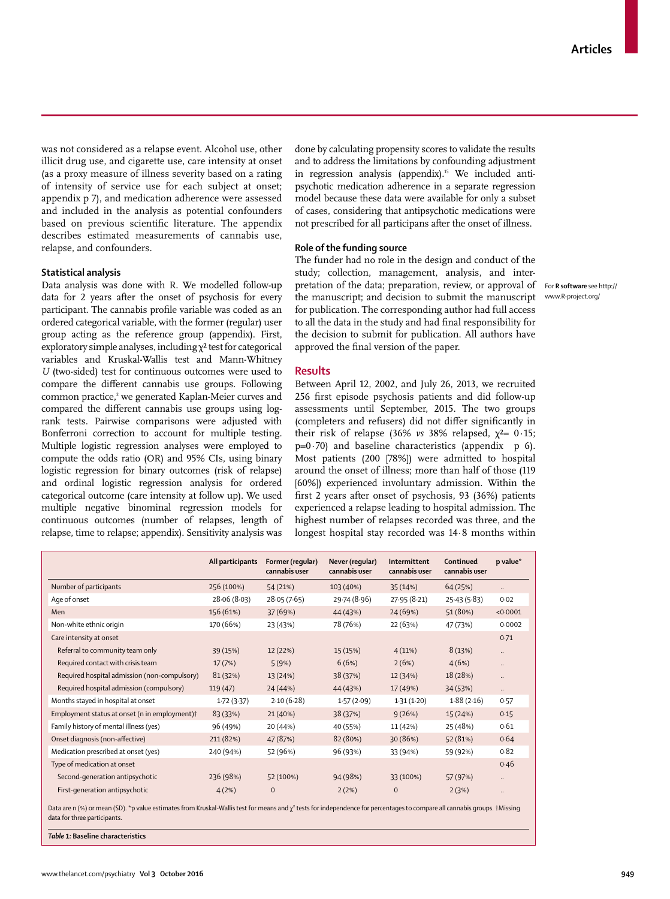was not considered as a relapse event. Alcohol use, other illicit drug use, and cigarette use, care intensity at onset (as a proxy measure of illness severity based on a rating of intensity of service use for each subject at onset; appendix p 7), and medication adherence were assessed and included in the analysis as potential confounders based on previous scientific literature. The appendix describes estimated measurements of cannabis use, relapse, and confounders.

## **Statistical analysis**

Data analysis was done with R. We modelled follow-up data for 2 years after the onset of psychosis for every participant. The cannabis profile variable was coded as an ordered categorical variable, with the former (regular) user group acting as the reference group (appendix). First, exploratory simple analyses, including  $\chi^2$  test for categorical variables and Kruskal-Wallis test and Mann-Whitney *U* (two-sided) test for continuous outcomes were used to compare the different cannabis use groups. Following common practice,<sup>2</sup> we generated Kaplan-Meier curves and compared the different cannabis use groups using logrank tests. Pairwise comparisons were adjusted with Bonferroni correction to account for multiple testing. Multiple logistic regression analyses were employed to compute the odds ratio (OR) and 95% CIs, using binary logistic regression for binary outcomes (risk of relapse) and ordinal logistic regression analysis for ordered categorical outcome (care intensity at follow up). We used multiple negative binominal regression models for continuous outcomes (number of relapses, length of relapse, time to relapse; appendix). Sensitivity analysis was

done by calculating propensity scores to validate the results and to address the limitations by confounding adjustment in regression analysis (appendix).<sup>15</sup> We included antipsychotic medication adherence in a separate regression model because these data were available for only a subset of cases, considering that antipsychotic medications were not prescribed for all participans after the onset of illness.

## **Role of the funding source**

The funder had no role in the design and conduct of the study; collection, management, analysis, and interpretation of the data; preparation, review, or approval of For **R software** see http:// the manuscript; and decision to submit the manuscript for publication. The corresponding author had full access to all the data in the study and had final responsibility for the decision to submit for publication. All authors have approved the final version of the paper.

www.R-project.org/

## **Results**

Between April 12, 2002, and July 26, 2013, we recruited 256 first episode psychosis patients and did follow-up assessments until September, 2015. The two groups (completers and refusers) did not differ significantly in their risk of relapse (36% *vs* 38% relapsed,  $\chi^2 = 0.15$ ;  $p=0.70$ ) and baseline characteristics (appendix p 6). Most patients (200 [78%]) were admitted to hospital around the onset of illness; more than half of those (119 [60%]) experienced involuntary admission. Within the first 2 years after onset of psychosis, 93 (36%) patients experienced a relapse leading to hospital admission. The highest number of relapses recorded was three, and the longest hospital stay recorded was 14·8 months within

|                                                           | All participants | Former (regular)<br>cannabis user | Never (regular)<br>cannabis user | Intermittent<br>cannabis user | Continued<br>cannabis user | p value*             |
|-----------------------------------------------------------|------------------|-----------------------------------|----------------------------------|-------------------------------|----------------------------|----------------------|
| Number of participants                                    | 256 (100%)       | 54 (21%)                          | 103 (40%)                        | 35 (14%)                      | 64 (25%)                   | $\ddot{\phantom{a}}$ |
| Age of onset                                              | 28.06(8.03)      | 28.05(7.65)                       | 29.74 (8.96)                     | 27.95(8.21)                   | 25.43(5.83)                | 0.02                 |
| Men                                                       | 156 (61%)        | 37 (69%)                          | 44 (43%)                         | 24 (69%)                      | 51 (80%)                   | < 0.0001             |
| Non-white ethnic origin                                   | 170 (66%)        | 23 (43%)                          | 78 (76%)                         | 22 (63%)                      | 47 (73%)                   | 0.0002               |
| Care intensity at onset                                   |                  |                                   |                                  |                               |                            | 0.71                 |
| Referral to community team only                           | 39 (15%)         | 12 (22%)                          | 15 (15%)                         | 4(11%)                        | 8(13%)                     | $\ddotsc$            |
| Required contact with crisis team                         | 17(7%)           | 5(9%)                             | 6(6%)                            | 2(6%)                         | 4(6%)                      | $\ddotsc$            |
| Required hospital admission (non-compulsory)              | 81 (32%)         | 13 (24%)                          | 38 (37%)                         | 12 (34%)                      | 18 (28%)                   | $\ddotsc$            |
| Required hospital admission (compulsory)                  | 119(47)          | 24 (44%)                          | 44 (43%)                         | 17 (49%)                      | 34 (53%)                   | $\ddots$             |
| Months stayed in hospital at onset                        | 1.72(3.37)       | 2.10(6.28)                        | 1.57(2.09)                       | 1.31(1.20)                    | 1.88(2.16)                 | 0.57                 |
| Employment status at onset (n in employment) <sup>†</sup> | 83 (33%)         | 21(40%)                           | 38 (37%)                         | 9(26%)                        | 15 (24%)                   | 0.15                 |
| Family history of mental illness (yes)                    | 96 (49%)         | 20 (44%)                          | 40 (55%)                         | 11 (42%)                      | 25 (48%)                   | 0.61                 |
| Onset diagnosis (non-affective)                           | 211 (82%)        | 47 (87%)                          | 82 (80%)                         | 30 (86%)                      | 52 (81%)                   | 0.64                 |
| Medication prescribed at onset (yes)                      | 240 (94%)        | 52 (96%)                          | 96 (93%)                         | 33 (94%)                      | 59 (92%)                   | 0.82                 |
| Type of medication at onset                               |                  |                                   |                                  |                               |                            | 0.46                 |
| Second-generation antipsychotic                           | 236 (98%)        | 52 (100%)                         | 94 (98%)                         | 33 (100%)                     | 57 (97%)                   | $\ddotsc$            |
| First-generation antipsychotic                            | 4(2%)            | $\mathbf{0}$                      | 2(2%)                            | $\Omega$                      | 2(3%)                      | $\ddotsc$            |

Data are n (%) or mean (SD). \*p value estimates from Kruskal-Wallis test for means and χ**²** tests for independence for percentages to compare all cannabis groups. †Missing data for three participants.

*Table 1:* **Baseline characteristics**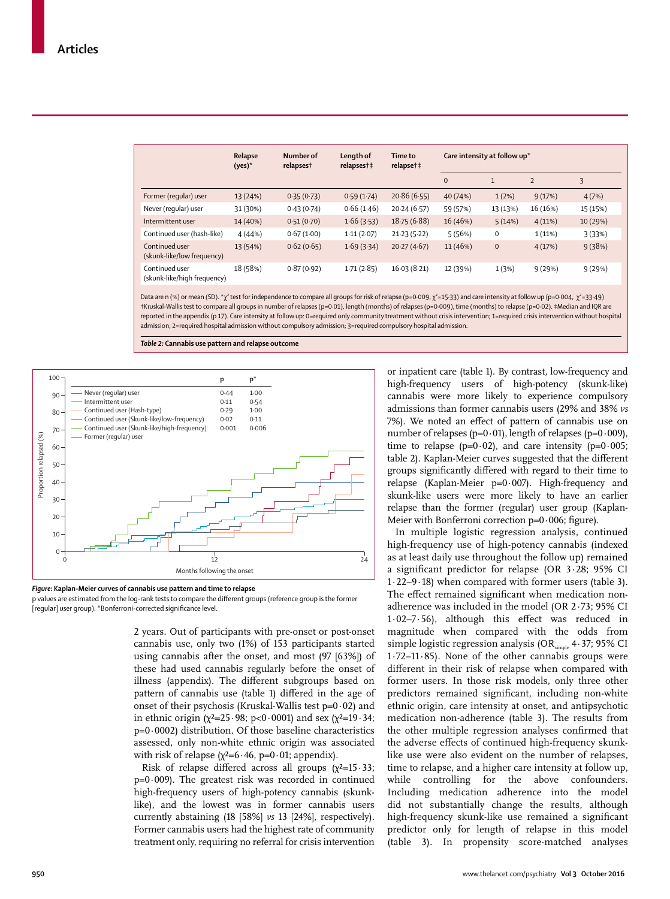|                                               | Relapse<br>$(yes)^*$ | Number of<br>relapses† | Length of<br>relapses†‡ | Time to<br>relapse†‡ | Care intensity at follow up* |              |                |          |  |
|-----------------------------------------------|----------------------|------------------------|-------------------------|----------------------|------------------------------|--------------|----------------|----------|--|
|                                               |                      |                        |                         |                      | $\mathbf{0}$                 | $\mathbf{1}$ | $\overline{2}$ | 3        |  |
| Former (regular) user                         | 13 (24%)             | 0.35(0.73)             | 0.59(1.74)              | 20.86(6.55)          | 40 (74%)                     | 1(2%)        | 9(17%)         | 4(7%)    |  |
| Never (regular) user                          | 31 (30%)             | 0.43(0.74)             | 0.66(1.46)              | 20.24(6.57)          | 59 (57%)                     | 13 (13%)     | 16 (16%)       | 15 (15%) |  |
| Intermittent user                             | 14 (40%)             | 0.51(0.70)             | 1.66(3.53)              | 18.75(6.88)          | 16 (46%)                     | 5(14%)       | 4(11%)         | 10 (29%) |  |
| Continued user (hash-like)                    | 4(44%)               | 0.67(1.00)             | 1.11(2.07)              | 21.23(5.22)          | 5(56%)                       | $\mathbf 0$  | $1(11\%)$      | 3(33%)   |  |
| Continued user<br>(skunk-like/low frequency)  | 13 (54%)             | 0.62(0.65)             | 1.69(3.34)              | 20.27(4.67)          | 11 (46%)                     | $\mathbf{0}$ | 4(17%)         | 9(38%)   |  |
| Continued user<br>(skunk-like/high frequency) | 18 (58%)             | 0.87(0.92)             | 1.71(2.85)              | 16.03(8.21)          | 12 (39%)                     | 1(3%)        | 9(29%)         | 9(29%)   |  |

Data are n (%) or mean (SD). \* $\chi^2$  test for independence to compare all groups for risk of relapse (p=0·009,  $\chi^2$ =15·33) and care intensity at follow up (p=0·004,  $\chi^2$ =33·49) †Kruskal-Wallis test to compare all groups in number of relapses (p=0·01), length (months) of relapses (p=0·009), time (months) to relapse (p=0·02). ‡Median and IQR are reported in the appendix (p 17). Care intensity at follow up: 0=required only community treatment without crisis intervention; 1=required crisis intervention without hospital admission; 2=required hospital admission without compulsory admission; 3=required compulsory hospital admission .



*Table 2:* **Cannabis use pattern and relapse outcome**

*Figure:* **Kaplan-Meier curves of cannabis use pattern and time to relapse**

p values are estimated from the log-rank tests to compare the different groups (reference group is the former [regular] user group). \*Bonferroni-corrected significance level.

> 2 years. Out of participants with pre-onset or post-onset cannabis use, only two (1%) of 153 participants started using cannabis after the onset, and most (97 [63%]) of these had used cannabis regularly before the onset of illness (appendix). The different subgroups based on pattern of cannabis use (table 1) differed in the age of onset of their psychosis (Kruskal-Wallis test p=0·02) and in ethnic origin ( $\chi^2$ =25·98; p<0·0001) and sex ( $\chi^2$ =19·34; p=0·0002) distribution. Of those baseline characteristics assessed, only non-white ethnic origin was associated with risk of relapse  $(\chi^2=6.46, p=0.01;$  appendix).

> Risk of relapse differed across all groups  $(\chi^2=15.33;$  $p=0.009$ ). The greatest risk was recorded in continued high-frequency users of high-potency cannabis (skunklike), and the lowest was in former cannabis users currently abstaining (18 [58%] *vs* 13 [24%], respectively). Former cannabis users had the highest rate of community treatment only, requiring no referral for crisis intervention

or inpatient care (table 1). By contrast, low-frequency and high-frequency users of high-potency (skunk-like) cannabis were more likely to experience compulsory admissions than former cannabis users (29% and 38% *vs* 7%). We noted an effect of pattern of cannabis use on number of relapses ( $p=0.01$ ), length of relapses ( $p=0.009$ ), time to relapse ( $p=0.02$ ), and care intensity ( $p=0.005$ ; table 2). Kaplan-Meier curves suggested that the different groups significantly differed with regard to their time to relapse (Kaplan-Meier p=0·007). High-frequency and skunk-like users were more likely to have an earlier relapse than the former (regular) user group (Kaplan-Meier with Bonferroni correction  $p=0.006$ ; figure).

In multiple logistic regression analysis, continued high-frequency use of high-potency cannabis (indexed as at least daily use throughout the follow up) remained a significant predictor for relapse (OR  $3.28$ ; 95% CI 1·22–9·18) when compared with former users (table 3). The effect remained significant when medication nonadherence was included in the model (OR 2·73; 95% CI  $1.02 - 7.56$ ), although this effect was reduced in magnitude when compared with the odds from simple logistic regression analysis  $(OR_{simple} 4.37; 95\% \text{ CI})$ 1·72–11·85). None of the other cannabis groups were different in their risk of relapse when compared with former users. In those risk models, only three other predictors remained significant, including non-white ethnic origin, care intensity at onset, and antipsychotic medication non-adherence (table 3). The results from the other multiple regression analyses confirmed that the adverse effects of continued high-frequency skunklike use were also evident on the number of relapses, time to relapse, and a higher care intensity at follow up, while controlling for the above confounders. Including medication adherence into the model did not substantially change the results, although high-frequency skunk-like use remained a significant predictor only for length of relapse in this model (table 3). In propensity score-matched analyses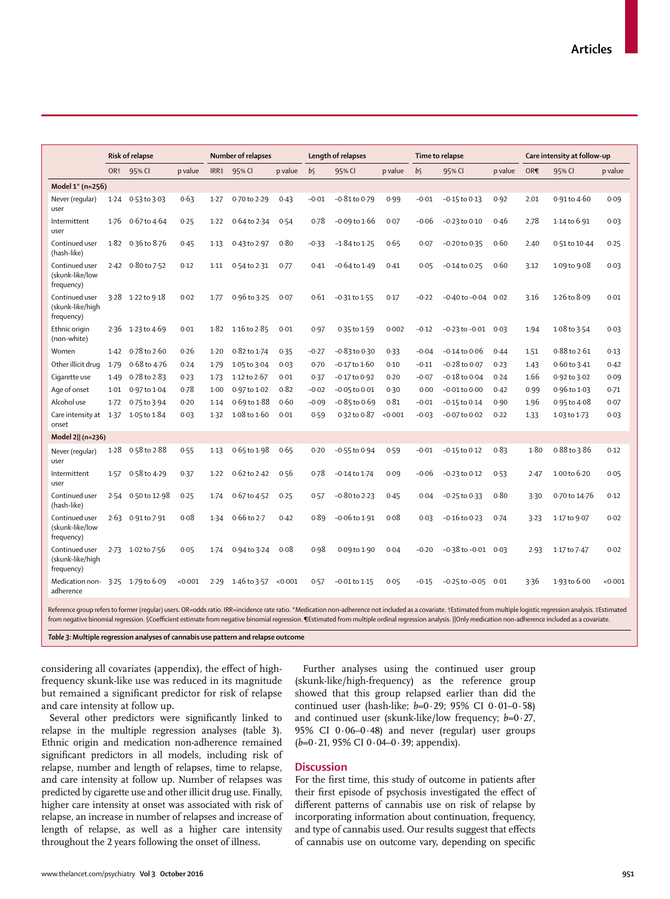|                                                  | <b>Risk of relapse</b> |                   |         | Number of relapses |                  |         | Length of relapses |                   |         | Time to relapse |                    |         | Care intensity at follow-up |               |         |
|--------------------------------------------------|------------------------|-------------------|---------|--------------------|------------------|---------|--------------------|-------------------|---------|-----------------|--------------------|---------|-----------------------------|---------------|---------|
|                                                  | OR <sup>+</sup>        | 95% CI            | p value | $IRR+$             | 95% CI           | p value | $b\varsigma$       | 95% CI            | p value | $b\varsigma$    | 95% CI             | p value | <b>OR</b>                   | 95% CI        | p value |
| Model $1^*$ (n=256)                              |                        |                   |         |                    |                  |         |                    |                   |         |                 |                    |         |                             |               |         |
| Never (regular)<br>user                          | $1-24$                 | 0.53 to 3.03      | 0.63    | 1.27               | 0.70 to 2.29     | 0.43    | $-0.01$            | $-0.81$ to 0.79   | 0.99    | $-0.01$         | $-0.15$ to $0.13$  | 0.92    | 2.01                        | 0.91 to 4.60  | 0.09    |
| Intermittent<br>user                             | 1.76                   | $0.67$ to $4.64$  | 0.25    | $1-22$             | $0.64$ to $2.34$ | 0.54    | 0.78               | $-0.09$ to $1.66$ | 0.07    | $-0.06$         | $-0.23$ to $0.10$  | 0.46    | 2.78                        | 1.14 to 6.91  | 0.03    |
| Continued user<br>(hash-like)                    | 1.82                   | $0.36$ to $8.76$  | 0.45    | 1.13               | 0.43 to 2.97     | 0.80    | $-0.33$            | $-1.84$ to $1.25$ | 0.65    | 0.07            | $-0.20$ to $0.35$  | 0.60    | 2.40                        | 0.51 to 10.44 | 0.25    |
| Continued user<br>(skunk-like/low<br>frequency)  | 2.42                   | 0.80 to 7.52      | 0.12    | 1.11               | 0.54 to 2.31     | 0.77    | 0.41               | $-0.64$ to $1.49$ | 0.41    | 0.05            | $-0.14$ to $0.25$  | 0.60    | 3.12                        | 1.09 to 9.08  | 0.03    |
| Continued user<br>(skunk-like/high<br>frequency) |                        | 3.28 1.22 to 9.18 | 0.02    | 1.77               | $0.96$ to $3.25$ | 0.07    | 0.61               | $-0.31$ to $1.55$ | 0.17    | $-0.22$         | $-0.40$ to $-0.04$ | 0.02    | 3.16                        | 1.26 to 8.09  | 0.01    |
| Ethnic origin<br>(non-white)                     |                        | 2.36 1.23 to 4.69 | 0.01    | 1.82               | 1.16 to 2.85     | 0.01    | 0.97               | 0.35 to 1.59      | 0.002   | $-0.12$         | $-0.23$ to $-0.01$ | 0.03    | 1.94                        | 1.08 to 3.54  | 0.03    |
| Women                                            | $1-42$                 | 0.78 to 2.60      | 0.26    | $1-20$             | 0.82 to 1.74     | 0.35    | $-0.27$            | $-0.83$ to 0.30   | 0.33    | $-0.04$         | $-0.14$ to $0.06$  | 0.44    | 1.51                        | 0.88 to 2.61  | 0.13    |
| Other illicit drug                               | 1.79                   | 0.68 to 4.76      | 0.24    | 1.79               | 1.05 to 3.04     | 0.03    | 0.70               | $-0.17$ to $1.60$ | 0.10    | $-0.11$         | $-0.28$ to $0.07$  | 0.23    | 1.43                        | 0.60 to 3.41  | 0.42    |
| Cigarette use                                    | 1.49                   | 0.78 to 2.83      | 0.23    | $1-73$             | 1.12 to 2.67     | 0.01    | 0.37               | $-0.17$ to $0.92$ | 0.20    | $-0.07$         | $-0.18$ to $0.04$  | 0.24    | 1.66                        | 0.92 to 3.02  | 0.09    |
| Age of onset                                     | $1-01$                 | 0.97 to 1.04      | 0.78    | $1-00$             | 0.97 to 1.02     | 0.82    | $-0.02$            | $-0.05$ to $0.01$ | 0.30    | 0.00            | $-0.01$ to $0.00$  | 0.42    | 0.99                        | 0.96 to 1.03  | 0.71    |
| Alcohol use                                      | $1-72$                 | 0.75 to 3.94      | 0.20    | 1.14               | 0.69 to 1.88     | 0.60    | $-0.09$            | $-0.85$ to $0.69$ | 0.81    | $-0.01$         | $-0.15$ to $0.14$  | 0.90    | 1.96                        | 0.95 to 4.08  | 0.07    |
| Care intensity at 1.37<br>onset                  |                        | 1.05 to 1.84      | 0.03    | 1.32               | 1.08 to 1.60     | 0.01    | 0.59               | 0.32 to 0.87      | < 0.001 | $-0.03$         | $-0.07$ to $0.02$  | 0.22    | 1.33                        | 1.03 to 1.73  | 0.03    |
| Model 2   (n=236)                                |                        |                   |         |                    |                  |         |                    |                   |         |                 |                    |         |                             |               |         |
| Never (regular)<br>user                          | 1.28                   | 0.58 to 2.88      | 0.55    | 1.13               | 0.65 to 1.98     | 0.65    | 0.20               | $-0.55$ to $0.94$ | 0.59    | $-0.01$         | $-0.15$ to $0.12$  | 0.83    | 1.80                        | 0.88 to 3.86  | 0.12    |
| Intermittent<br>user                             | 1.57                   | 0.58 to 4.29      | 0.37    | 1.22               | $0.62$ to $2.42$ | 0.56    | 0.78               | $-0.14$ to $1.74$ | 0.09    | $-0.06$         | $-0.23$ to $0.12$  | 0.53    | 2.47                        | 1.00 to 6.20  | 0.05    |
| Continued user<br>(hash-like)                    | 2.54                   | 0.50 to 12.98     | 0.25    | 1.74               | $0.67$ to $4.52$ | 0.25    | 0.57               | $-0.80$ to 2.23   | 0.45    | 0.04            | $-0.25$ to 0.33    | 0.80    | 3.30                        | 0.70 to 14.76 | 0.12    |
| Continued user<br>(skunk-like/low<br>frequency)  |                        | 2.63 0.91 to 7.91 | 0.08    | 1.34               | 0.66 to 2.7      | 0.42    | 0.89               | $-0.06$ to $1.91$ | 0.08    | 0.03            | $-0.16$ to 0.23    | 0.74    | 3.23                        | 1.17 to 9.07  | 0.02    |
| Continued user<br>(skunk-like/hiqh<br>frequency) |                        | 2.73 1.02 to 7.56 | 0.05    | 1.74               | 0.94 to 3.24     | 0.08    | 0.98               | 0.09 to 1.90      | 0.04    | $-0.20$         | $-0.38$ to $-0.01$ | 0.03    | 2.93                        | 1.17 to 7.47  | 0.02    |
| Medication non- 3.25 1.79 to 6.09<br>adherence   |                        |                   | < 0.001 | 2.29               | 1.46 to 3.57     | < 0.001 | 0.57               | $-0.01$ to $1.15$ | 0.05    | $-0.15$         | $-0.25$ to $-0.05$ | 0.01    | 3.36                        | 1.93 to 6.00  | < 0.001 |

Reference group refers to former (regular) users. OR=odds ratio. IRR=incidence rate ratio. \*Medication non-adherence not included as a covariate. †Estimated from multiple logistic regression analysis. ‡Estimated from negative binomial regression. §Coefficient estimate from negative binomial regression. ¶Estimated from multiple ordinal regression analysis. ||Only medication non-adherence included as a covariate.

*Table 3:* **Multiple regression analyses of cannabis use pattern and relapse outcome**

considering all covariates (appendix), the effect of highfrequency skunk-like use was reduced in its magnitude but remained a significant predictor for risk of relapse and care intensity at follow up**.**

Several other predictors were significantly linked to relapse in the multiple regression analyses (table 3). Ethnic origin and medication non-adherence remained significant predictors in all models, including risk of relapse, number and length of relapses, time to relapse, and care intensity at follow up. Number of relapses was predicted by cigarette use and other illicit drug use. Finally, higher care intensity at onset was associated with risk of relapse, an increase in number of relapses and increase of length of relapse, as well as a higher care intensity throughout the 2 years following the onset of illness**.**

Further analyses using the continued user group (skunk-like/high-frequency) as the reference group showed that this group relapsed earlier than did the continued user (hash-like; *b*=0·29; 95% CI 0·01–0·58) and continued user (skunk-like/low frequency; *b*=0·27, 95% CI 0·06–0·48) and never (regular) user groups (*b*=0·21, 95% CI 0·04–0·39; appendix).

### **Discussion**

For the first time, this study of outcome in patients after their first episode of psychosis investigated the effect of different patterns of cannabis use on risk of relapse by incorporating information about continuation, frequency, and type of cannabis used. Our results suggest that effects of cannabis use on outcome vary, depending on specific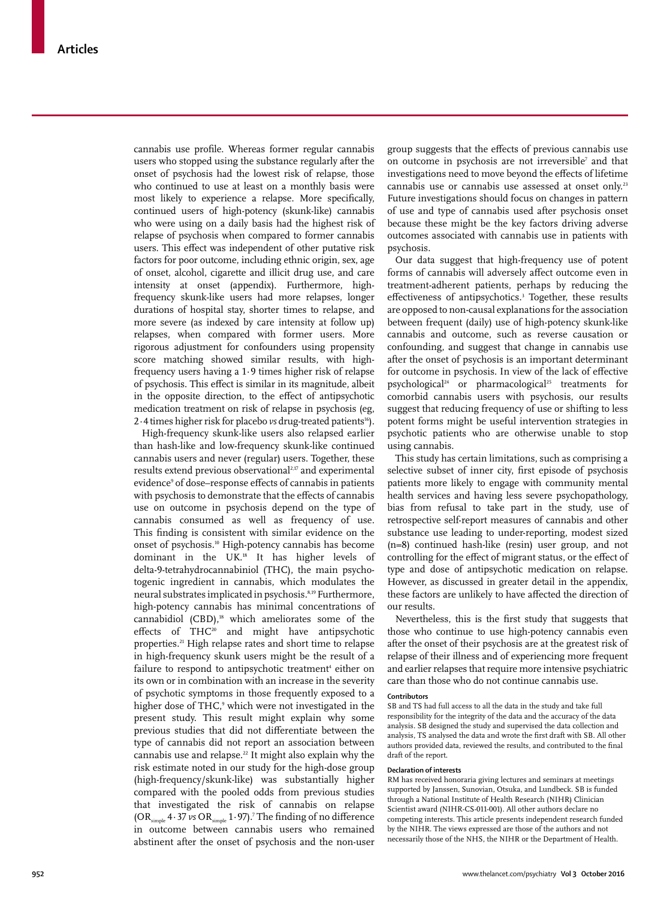cannabis use profile. Whereas former regular cannabis users who stopped using the substance regularly after the onset of psychosis had the lowest risk of relapse, those who continued to use at least on a monthly basis were most likely to experience a relapse. More specifically, continued users of high-potency (skunk-like) cannabis who were using on a daily basis had the highest risk of relapse of psychosis when compared to former cannabis users. This effect was independent of other putative risk factors for poor outcome, including ethnic origin, sex, age of onset, alcohol, cigarette and illicit drug use, and care intensity at onset (appendix). Furthermore, highfrequency skunk-like users had more relapses, longer durations of hospital stay, shorter times to relapse, and more severe (as indexed by care intensity at follow up) relapses, when compared with former users. More rigorous adjustment for confounders using propensity score matching showed similar results, with highfrequency users having a 1·9 times higher risk of relapse of psychosis. This effect is similar in its magnitude, albeit in the opposite direction, to the effect of antipsychotic medication treatment on risk of relapse in psychosis (eg, 2 · 4 times higher risk for placebo *vs* drug-treated patients<sup>16</sup>).

High-frequency skunk-like users also relapsed earlier than hash-like and low-frequency skunk-like continued cannabis users and never (regular) users. Together, these results extend previous observational2,17 and experimental evidence° of dose–response effects of cannabis in patients with psychosis to demonstrate that the effects of cannabis use on outcome in psychosis depend on the type of cannabis consumed as well as frequency of use. This finding is consistent with similar evidence on the onset of psychosis.10 High-potency cannabis has become dominant in the UK.18 It has higher levels of delta-9-tetrahydrocannabiniol (THC), the main psychotogenic ingredient in cannabis, which modulates the neural substrates implicated in psychosis.8,19 Furthermore, high-potency cannabis has minimal concentrations of cannabidiol  $(CBD)$ ,<sup>18</sup> which ameliorates some of the effects of THC<sup>20</sup> and might have antipsychotic properties.<sup>21</sup> High relapse rates and short time to relapse in high-frequency skunk users might be the result of a failure to respond to antipsychotic treatment<sup>4</sup> either on its own or in combination with an increase in the severity of psychotic symptoms in those frequently exposed to a higher dose of THC,<sup>9</sup> which were not investigated in the present study. This result might explain why some previous studies that did not differentiate between the type of cannabis did not report an association between cannabis use and relapse.<sup>22</sup> It might also explain why the risk estimate noted in our study for the high-dose group (high-frequency/skunk-like) was substantially higher compared with the pooled odds from previous studies that investigated the risk of cannabis on relapse (OR<sub>simple</sub>  $4.37$  *vs* OR<sub>simple</sub>  $1.97$ ).<sup>7</sup> The finding of no difference in outcome between cannabis users who remained abstinent after the onset of psychosis and the non-user

group suggests that the effects of previous cannabis use on outcome in psychosis are not irreversible<sup>7</sup> and that investigations need to move beyond the effects of lifetime cannabis use or cannabis use assessed at onset only.<sup>23</sup> Future investigations should focus on changes in pattern of use and type of cannabis used after psychosis onset because these might be the key factors driving adverse outcomes associated with cannabis use in patients with psychosis.

Our data suggest that high-frequency use of potent forms of cannabis will adversely affect outcome even in treatment-adherent patients, perhaps by reducing the effectiveness of antipsychotics.<sup>3</sup> Together, these results are opposed to non-causal explanations for the association between frequent (daily) use of high-potency skunk-like cannabis and outcome, such as reverse causation or confounding, and suggest that change in cannabis use after the onset of psychosis is an important determinant for outcome in psychosis. In view of the lack of effective psychological<sup>24</sup> or pharmacological<sup>25</sup> treatments for comorbid cannabis users with psychosis, our results suggest that reducing frequency of use or shifting to less potent forms might be useful intervention strategies in psychotic patients who are otherwise unable to stop using cannabis.

This study has certain limitations, such as comprising a selective subset of inner city, first episode of psychosis patients more likely to engage with community mental health services and having less severe psychopathology, bias from refusal to take part in the study, use of retrospective self-report measures of cannabis and other substance use leading to under-reporting, modest sized (n=8) continued hash-like (resin) user group, and not controlling for the effect of migrant status, or the effect of type and dose of antipsychotic medication on relapse. However, as discussed in greater detail in the appendix, these factors are unlikely to have affected the direction of our results.

Nevertheless, this is the first study that suggests that those who continue to use high-potency cannabis even after the onset of their psychosis are at the greatest risk of relapse of their illness and of experiencing more frequent and earlier relapses that require more intensive psychiatric care than those who do not continue cannabis use.

#### **Contributors**

SB and TS had full access to all the data in the study and take full responsibility for the integrity of the data and the accuracy of the data analysis. SB designed the study and supervised the data collection and analysis. TS analysed the data and wrote the first draft with SB. All other authors provided data, reviewed the results, and contributed to the final draft of the report.

## **Declaration of interests**

RM has received honoraria giving lectures and seminars at meetings supported by Janssen, Sunovian, Otsuka, and Lundbeck. SB is funded through a National Institute of Health Research (NIHR) Clinician Scientist award (NIHR-CS-011-001). All other authors declare no competing interests. This article presents independent research funded by the NIHR. The views expressed are those of the authors and not necessarily those of the NHS, the NIHR or the Department of Health.